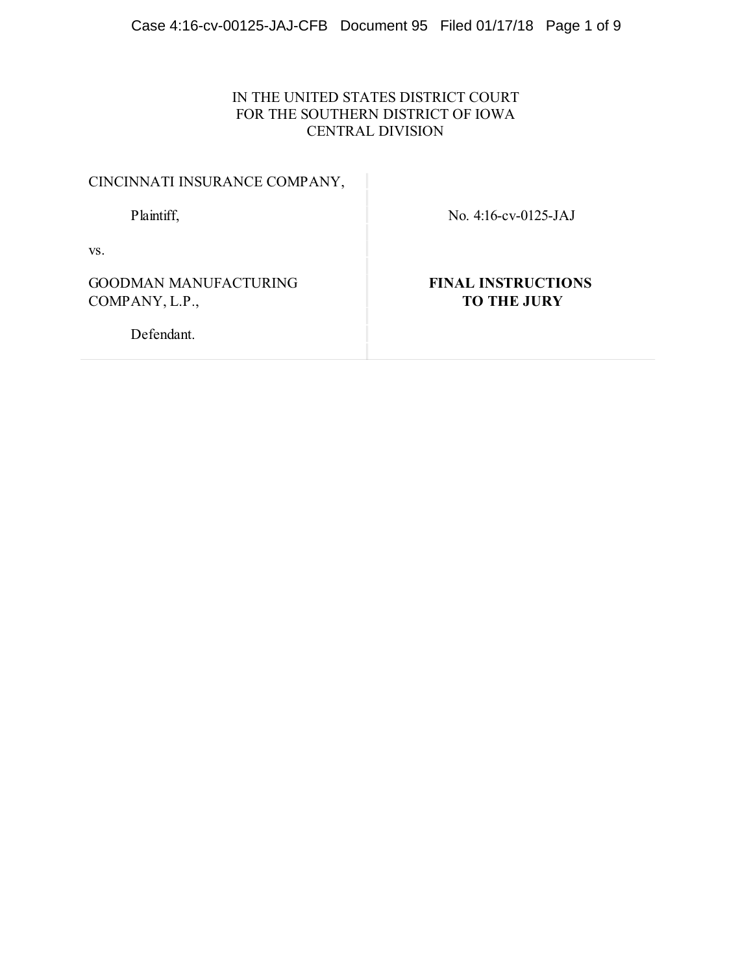## IN THE UNITED STATES DISTRICT COURT FOR THE SOUTHERN DISTRICT OF IOWA CENTRAL DIVISION

Plaintiff, No. 4:16-cv-0125-JAJ

vs.

GOODMAN MANUFACTURING COMPANY, L.P.,

**FINAL INSTRUCTIONS TO THE JURY**

Defendant.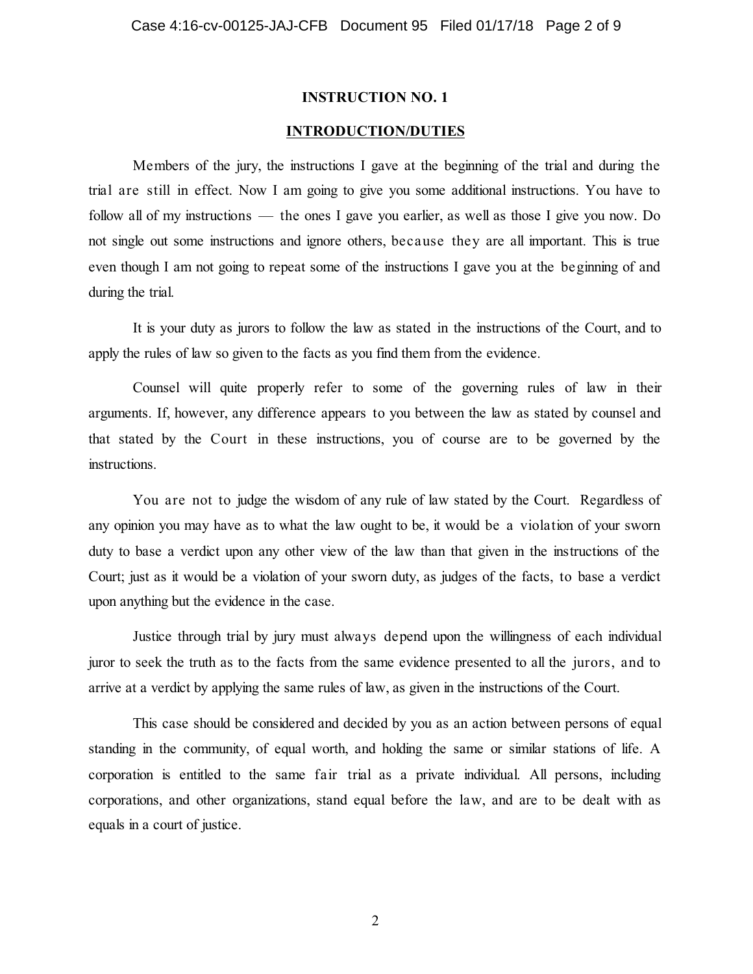#### **INTRODUCTION/DUTIES**

Members of the jury, the instructions I gave at the beginning of the trial and during the trial are still in effect. Now I am going to give you some additional instructions. You have to follow all of my instructions — the ones I gave you earlier, as well as those I give you now. Do not single out some instructions and ignore others, because they are all important. This is true even though I am not going to repeat some of the instructions I gave you at the beginning of and during the trial.

It is your duty as jurors to follow the law as stated in the instructions of the Court, and to apply the rules of law so given to the facts as you find them from the evidence.

Counsel will quite properly refer to some of the governing rules of law in their arguments. If, however, any difference appears to you between the law as stated by counsel and that stated by the Court in these instructions, you of course are to be governed by the instructions.

You are not to judge the wisdom of any rule of law stated by the Court. Regardless of any opinion you may have as to what the law ought to be, it would be a violation of your sworn duty to base a verdict upon any other view of the law than that given in the instructions of the Court; just as it would be a violation of your sworn duty, as judges of the facts, to base a verdict upon anything but the evidence in the case.

Justice through trial by jury must always depend upon the willingness of each individual juror to seek the truth as to the facts from the same evidence presented to all the jurors, and to arrive at a verdict by applying the same rules of law, as given in the instructions of the Court.

This case should be considered and decided by you as an action between persons of equal standing in the community, of equal worth, and holding the same or similar stations of life. A corporation is entitled to the same fair trial as a private individual. All persons, including corporations, and other organizations, stand equal before the law, and are to be dealt with as equals in a court of justice.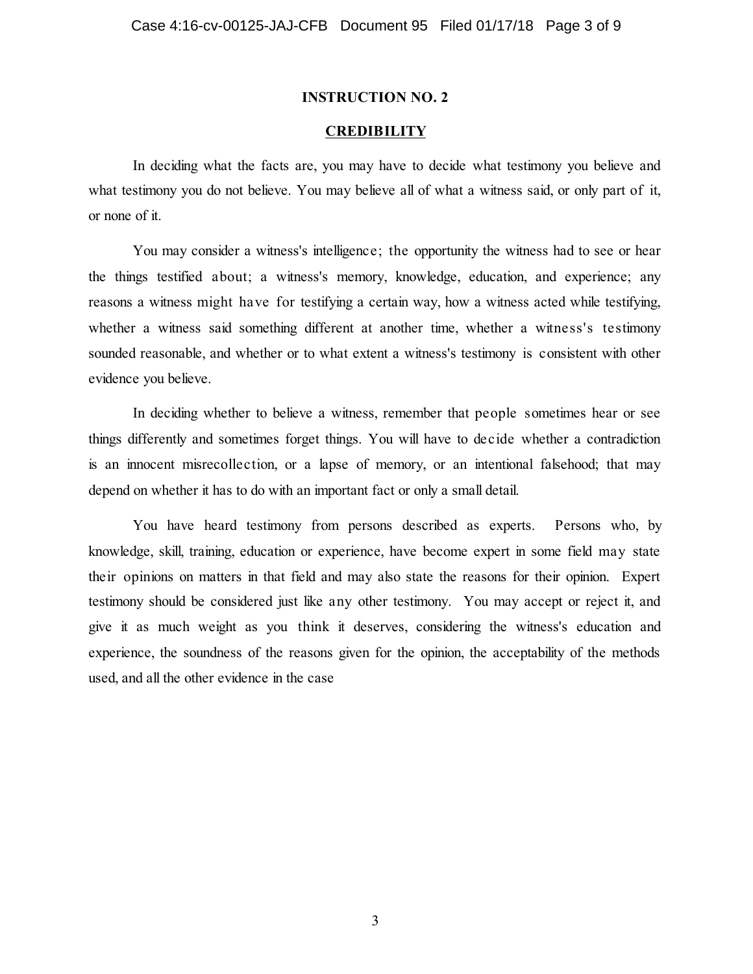#### **CREDIBILITY**

In deciding what the facts are, you may have to decide what testimony you believe and what testimony you do not believe. You may believe all of what a witness said, or only part of it, or none of it.

You may consider a witness's intelligence; the opportunity the witness had to see or hear the things testified about; a witness's memory, knowledge, education, and experience; any reasons a witness might have for testifying a certain way, how a witness acted while testifying, whether a witness said something different at another time, whether a witness's testimony sounded reasonable, and whether or to what extent a witness's testimony is consistent with other evidence you believe.

In deciding whether to believe a witness, remember that people sometimes hear or see things differently and sometimes forget things. You will have to decide whether a contradiction is an innocent misrecollection, or a lapse of memory, or an intentional falsehood; that may depend on whether it has to do with an important fact or only a small detail.

You have heard testimony from persons described as experts. Persons who, by knowledge, skill, training, education or experience, have become expert in some field may state their opinions on matters in that field and may also state the reasons for their opinion. Expert testimony should be considered just like any other testimony. You may accept or reject it, and give it as much weight as you think it deserves, considering the witness's education and experience, the soundness of the reasons given for the opinion, the acceptability of the methods used, and all the other evidence in the case

3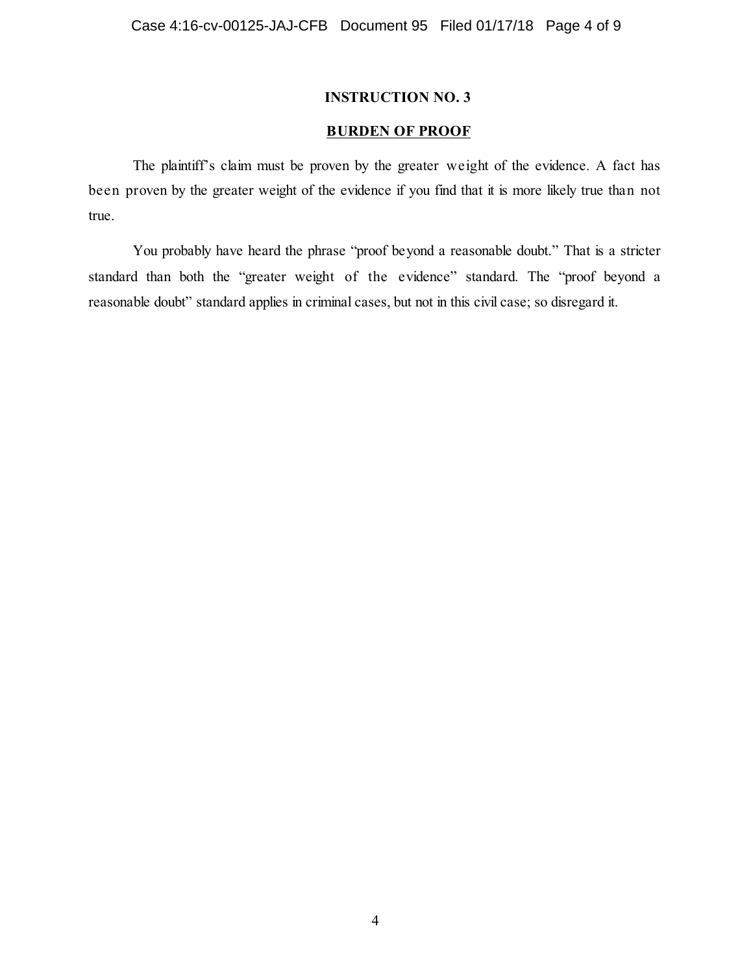#### **BURDEN OF PROOF**

The plaintiff's claim must be proven by the greater weight of the evidence. A fact has been proven by the greater weight of the evidence if you find that it is more likely true than not true.

You probably have heard the phrase "proof beyond a reasonable doubt." That is a stricter standard than both the "greater weight of the evidence" standard. The "proof beyond a reasonable doubt" standard applies in criminal cases, but not in this civil case; so disregard it.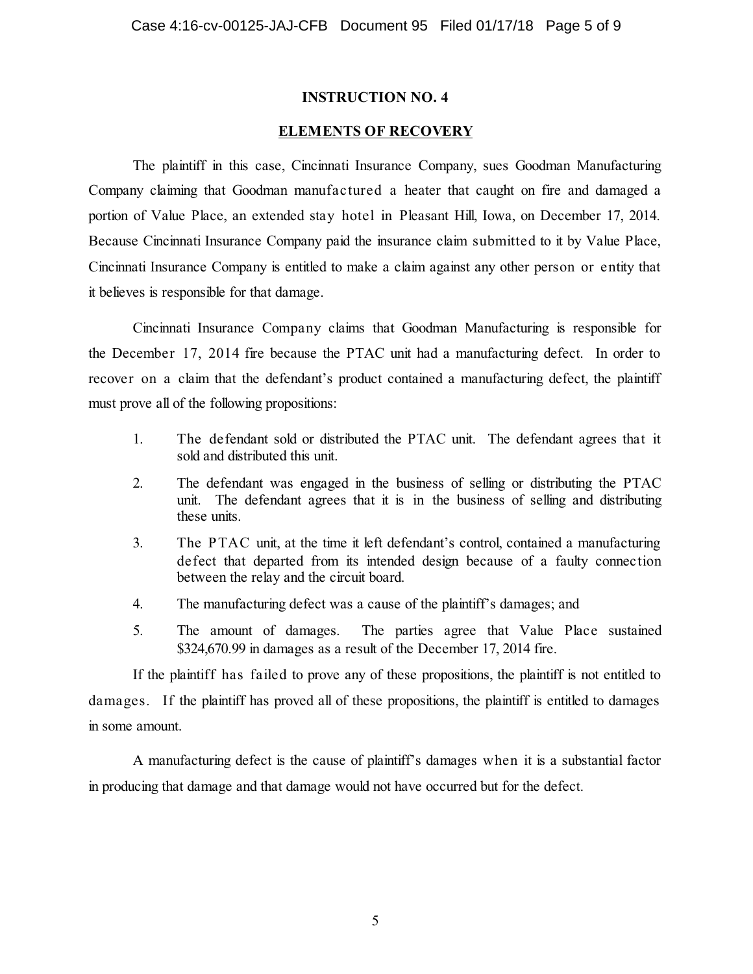#### **ELEMENTS OF RECOVERY**

The plaintiff in this case, Cincinnati Insurance Company, sues Goodman Manufacturing Company claiming that Goodman manufactured a heater that caught on fire and damaged a portion of Value Place, an extended stay hotel in Pleasant Hill, Iowa, on December 17, 2014. Because Cincinnati Insurance Company paid the insurance claim submitted to it by Value Place, Cincinnati Insurance Company is entitled to make a claim against any other person or entity that it believes is responsible for that damage.

Cincinnati Insurance Company claims that Goodman Manufacturing is responsible for the December 17, 2014 fire because the PTAC unit had a manufacturing defect. In order to recover on a claim that the defendant's product contained a manufacturing defect, the plaintiff must prove all of the following propositions:

- 1. The defendant sold or distributed the PTAC unit. The defendant agrees that it sold and distributed this unit.
- 2. The defendant was engaged in the business of selling or distributing the PTAC unit. The defendant agrees that it is in the business of selling and distributing these units.
- 3. The PTAC unit, at the time it left defendant's control, contained a manufacturing defect that departed from its intended design because of a faulty connection between the relay and the circuit board.
- 4. The manufacturing defect was a cause of the plaintiff's damages; and
- 5. The amount of damages. The parties agree that Value Place sustained \$324,670.99 in damages as a result of the December 17, 2014 fire.

If the plaintiff has failed to prove any of these propositions, the plaintiff is not entitled to damages. If the plaintiff has proved all of these propositions, the plaintiff is entitled to damages in some amount.

A manufacturing defect is the cause of plaintiff's damages when it is a substantial factor in producing that damage and that damage would not have occurred but for the defect.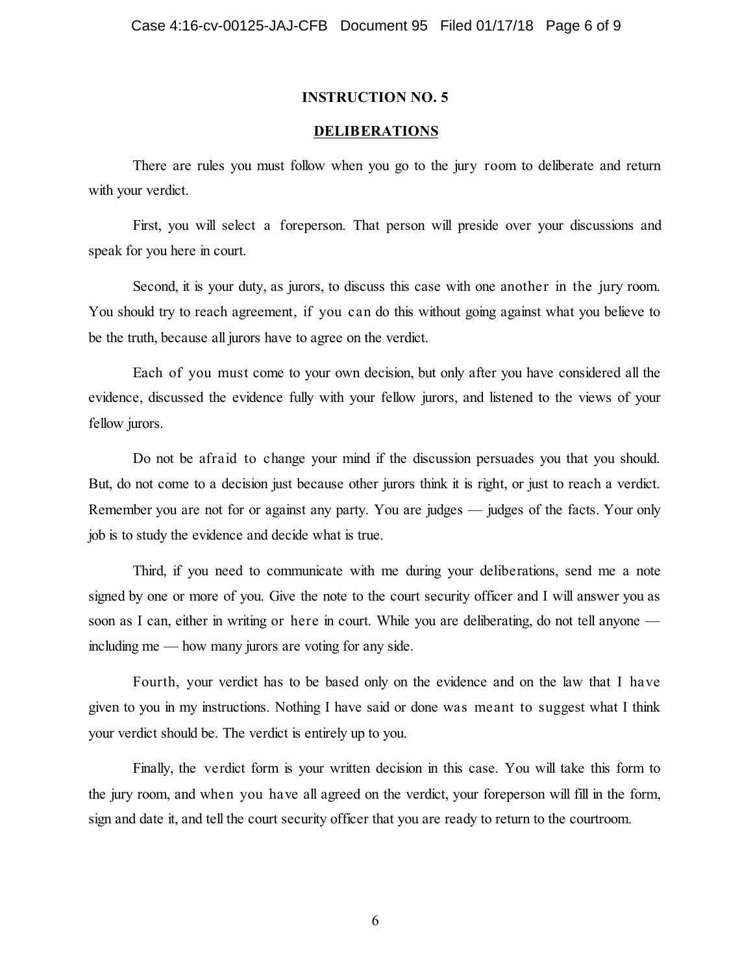#### **DELIBERATIONS**

There are rules you must follow when you go to the jury room to deliberate and return with your verdict.

First, you will select a foreperson. That person will preside over your discussions and speak for you here in court.

Second, it is your duty, as jurors, to discuss this case with one another in the jury room. You should try to reach agreement, if you can do this without going against what you believe to be the truth, because all jurors have to agree on the verdict.

Each of you must come to your own decision, but only after you have considered all the evidence, discussed the evidence fully with your fellow jurors, and listened to the views of your fellow jurors.

Do not be afraid to change your mind if the discussion persuades you that you should. But, do not come to a decision just because other jurors think it is right, or just to reach a verdict. Remember you are not for or against any party. You are judges — judges of the facts. Your only job is to study the evidence and decide what is true.

Third, if you need to communicate with me during your deliberations, send me a note signed by one or more of you. Give the note to the court security officer and I will answer you as soon as I can, either in writing or here in court. While you are deliberating, do not tell anyone including me — how many jurors are voting for any side.

Fourth, your verdict has to be based only on the evidence and on the law that I have given to you in my instructions. Nothing I have said or done was meant to suggest what I think your verdict should be. The verdict is entirely up to you.

Finally, the verdict form is your written decision in this case. You will take this form to the jury room, and when you have all agreed on the verdict, your foreperson will fill in the form, sign and date it, and tell the court security officer that you are ready to return to the courtroom.

6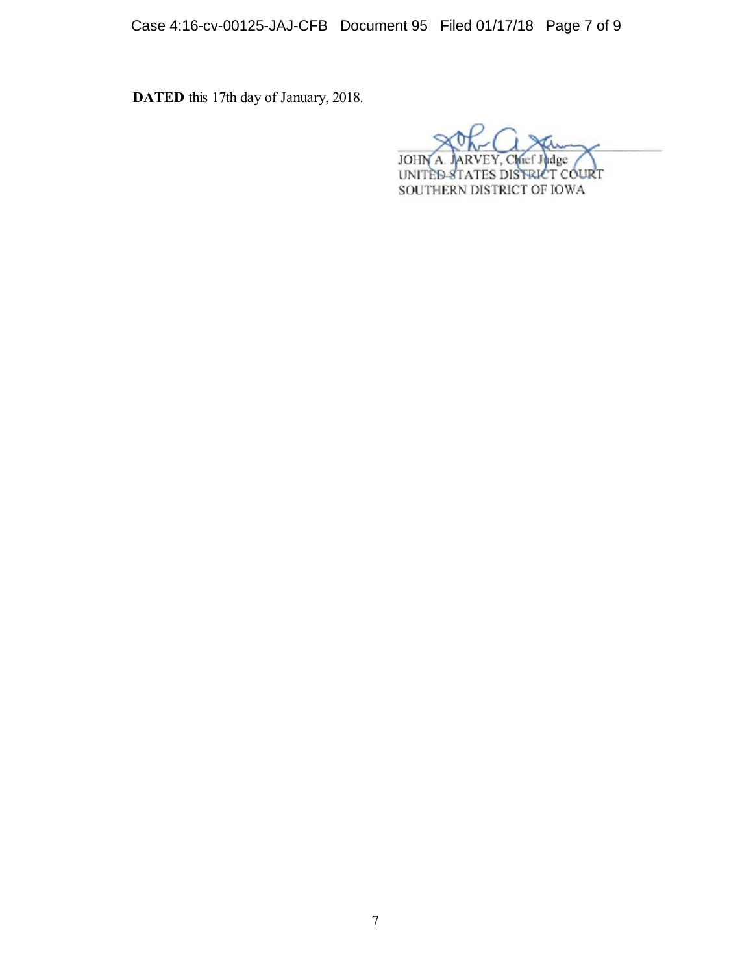Case 4:16-cv-00125-JAJ-CFB Document 95 Filed 01/17/18 Page 7 of 9

**DATED** this 17th day of January, 2018.

JOHN ddge Chief. A UNITÈD-STATES DISTRICT COURT SOUTHERN DISTRICT OF IOWA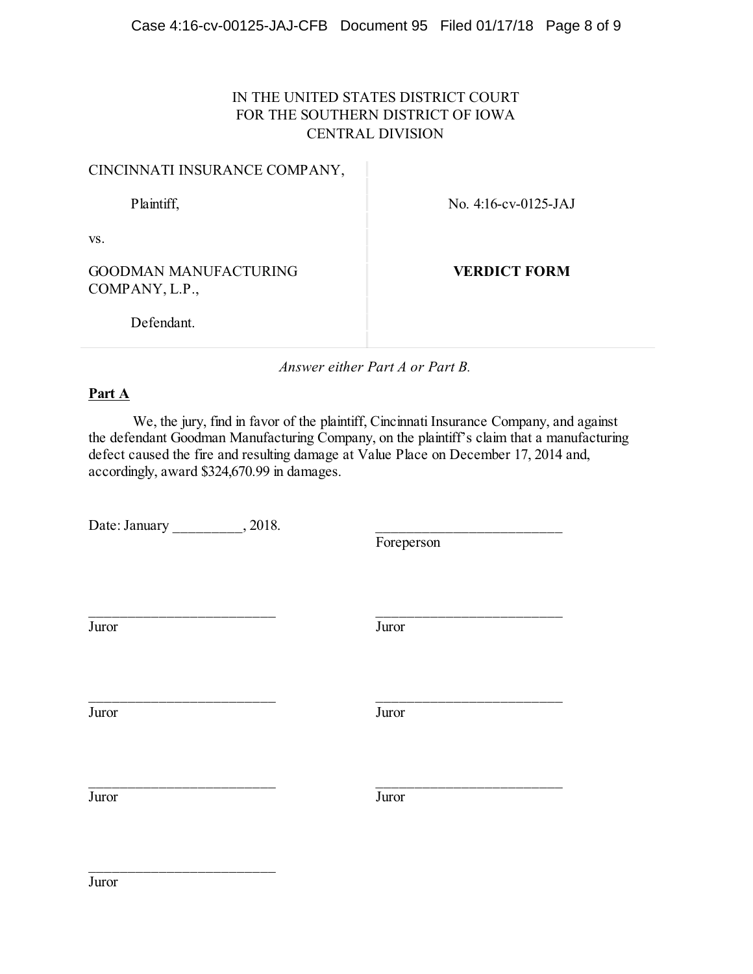# IN THE UNITED STATES DISTRICT COURT FOR THE SOUTHERN DISTRICT OF IOWA CENTRAL DIVISION

# CINCINNATI INSURANCE COMPANY,

Plaintiff, No. 4:16-cv-0125-JAJ

vs.

GOODMAN MANUFACTURING COMPANY, L.P.,

**VERDICT FORM**

Defendant.

*Answer either Part A or Part B.*

### **Part A**

We, the jury, find in favor of the plaintiff, Cincinnati Insurance Company, and against the defendant Goodman Manufacturing Company, on the plaintiff's claim that a manufacturing defect caused the fire and resulting damage at Value Place on December 17, 2014 and, accordingly, award \$324,670.99 in damages.

\_\_\_\_\_\_\_\_\_\_\_\_\_\_\_\_\_\_\_\_\_\_\_\_ \_\_\_\_\_\_\_\_\_\_\_\_\_\_\_\_\_\_\_\_\_\_\_\_

\_\_\_\_\_\_\_\_\_\_\_\_\_\_\_\_\_\_\_\_\_\_\_\_ \_\_\_\_\_\_\_\_\_\_\_\_\_\_\_\_\_\_\_\_\_\_\_\_

Date: January \_\_\_\_\_\_\_\_\_\_, 2018.

\_\_\_\_\_\_\_\_\_\_\_\_\_\_\_\_\_\_\_\_\_\_\_\_

Foreperson

Juror Juror

Juror Juror

Juror Juror

\_\_\_\_\_\_\_\_\_\_\_\_\_\_\_\_\_\_\_\_\_\_\_\_ \_\_\_\_\_\_\_\_\_\_\_\_\_\_\_\_\_\_\_\_\_\_\_\_